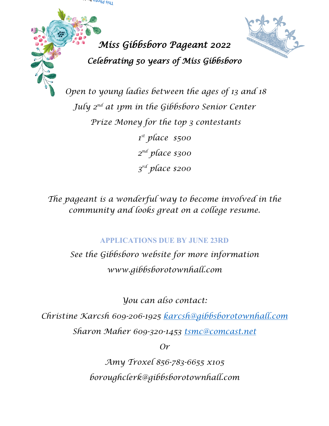



*Open to young ladies between the ages of 13 and 18 July 2nd at 1pm in the Gibbsboro Senior Center Prize Money for the top 3 contestants 1st place \$500 2nd place \$300 3rd place \$200*

*The pageant is a wonderful way to become involved in the community and looks great on a college resume.*

## **APPLICATIONS DUE BY JUNE 23RD**

*See the Gibbsboro website for more information www.gibbsborotownhall.com*

*You can also contact:*

*Christine Karcsh 609-206-1925 [karcsh@gibbsborotownhall.com](mailto:karcsh@gibbsborotownhall.com) Sharon Maher 609-320-1453 [tsmc@comcast.net](mailto:tsmc@comcast.net)*

*Or*

*Amy Troxel 856-783-6655 x105 boroughclerk@gibbsborotownhall.com*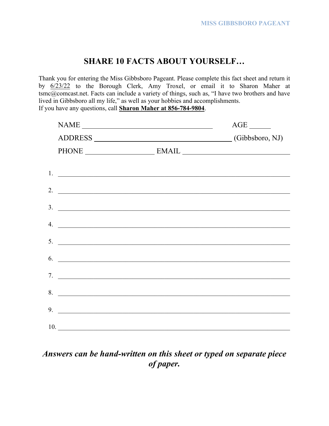#### **SHARE 10 FACTS ABOUT YOURSELF…**

Thank you for entering the Miss Gibbsboro Pageant. Please complete this fact sheet and return it by 6/23/22 to the Borough Clerk, Amy Troxel, or email it to Sharon Maher at tsmc@comcast.net. Facts can include a variety of things, such as, "I have two brothers and have lived in Gibbsboro all my life," as well as your hobbies and accomplishments. If you have any questions, call **Sharon Maher at 856-784-9804**.

|     | $\begin{tabular}{ c c c c } \hline \multicolumn{3}{ c }{\text{NAME}} & \multicolumn{3}{ c }{\text{NAME}}\\ \hline \multicolumn{3}{ c }{\text{NAME}} & \multicolumn{3}{ c }{\text{NAME}}\\ \hline \multicolumn{3}{ c }{\text{NAME}} & \multicolumn{3}{ c }{\text{new}}\\ \hline \multicolumn{3}{ c }{\text{NAME}} & \multicolumn{3}{ c }{\text{new}}\\ \hline \multicolumn{3}{ c }{\text{NAME}} & \multicolumn{3}{ c }{\text{new}}\\ \hline \multicolumn{3}{ c }{\text{new}}$ | $AGE$ <sub>_______</sub> |
|-----|------------------------------------------------------------------------------------------------------------------------------------------------------------------------------------------------------------------------------------------------------------------------------------------------------------------------------------------------------------------------------------------------------------------------------------------------------------------------------|--------------------------|
|     | ADDRESS (Gibbsboro, NJ)                                                                                                                                                                                                                                                                                                                                                                                                                                                      |                          |
|     | PHONE EMAIL                                                                                                                                                                                                                                                                                                                                                                                                                                                                  |                          |
|     |                                                                                                                                                                                                                                                                                                                                                                                                                                                                              |                          |
|     | $1.$ $\overline{\phantom{a}}$                                                                                                                                                                                                                                                                                                                                                                                                                                                |                          |
|     | 2. $\overline{\phantom{a}}$                                                                                                                                                                                                                                                                                                                                                                                                                                                  |                          |
|     | $\frac{3}{2}$                                                                                                                                                                                                                                                                                                                                                                                                                                                                |                          |
|     |                                                                                                                                                                                                                                                                                                                                                                                                                                                                              |                          |
|     | $\mathcal{A}$ . $\qquad \qquad$                                                                                                                                                                                                                                                                                                                                                                                                                                              |                          |
|     | $\frac{1}{2}$                                                                                                                                                                                                                                                                                                                                                                                                                                                                |                          |
|     | 6.                                                                                                                                                                                                                                                                                                                                                                                                                                                                           |                          |
|     |                                                                                                                                                                                                                                                                                                                                                                                                                                                                              |                          |
|     | 7.                                                                                                                                                                                                                                                                                                                                                                                                                                                                           |                          |
|     | 8.                                                                                                                                                                                                                                                                                                                                                                                                                                                                           |                          |
|     | 9.                                                                                                                                                                                                                                                                                                                                                                                                                                                                           |                          |
| 10. |                                                                                                                                                                                                                                                                                                                                                                                                                                                                              |                          |

## *Answers can be hand-written on this sheet or typed on separate piece of paper.*